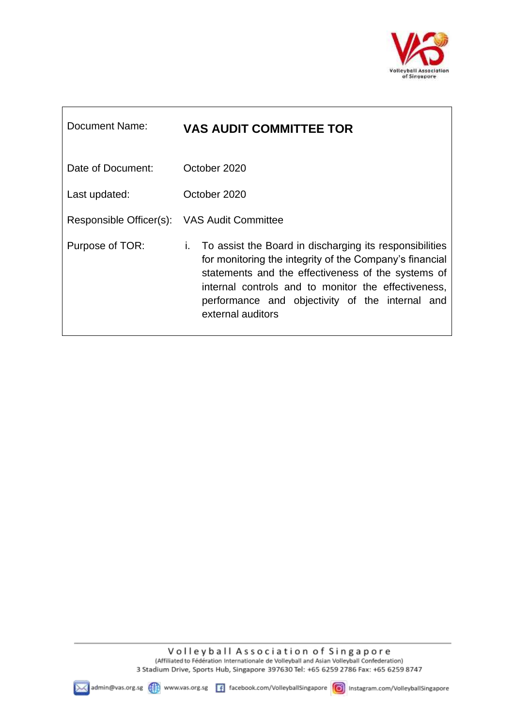

| Document Name:                              | <b>VAS AUDIT COMMITTEE TOR</b>                                                                                                                                                                                                                                                                                |
|---------------------------------------------|---------------------------------------------------------------------------------------------------------------------------------------------------------------------------------------------------------------------------------------------------------------------------------------------------------------|
| Date of Document:                           | October 2020                                                                                                                                                                                                                                                                                                  |
| Last updated:                               | October 2020                                                                                                                                                                                                                                                                                                  |
| Responsible Officer(s): VAS Audit Committee |                                                                                                                                                                                                                                                                                                               |
| Purpose of TOR:                             | To assist the Board in discharging its responsibilities<br>i.<br>for monitoring the integrity of the Company's financial<br>statements and the effectiveness of the systems of<br>internal controls and to monitor the effectiveness,<br>performance and objectivity of the internal and<br>external auditors |

Г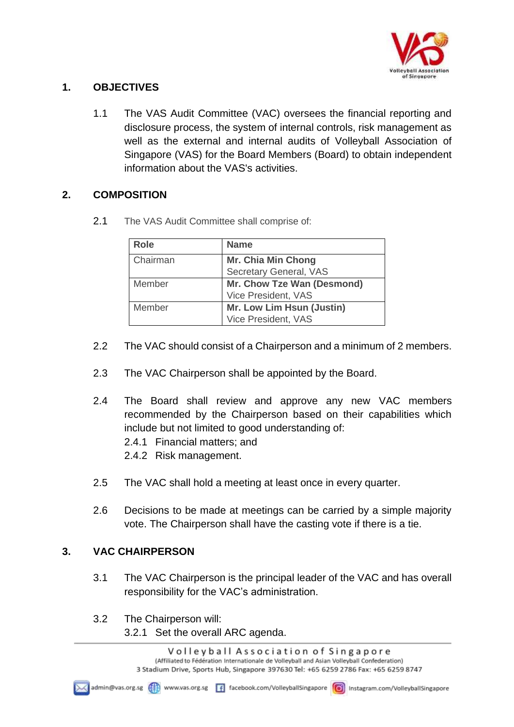

## **1. OBJECTIVES**

1.1 The VAS Audit Committee (VAC) oversees the financial reporting and disclosure process, the system of internal controls, risk management as well as the external and internal audits of Volleyball Association of Singapore (VAS) for the Board Members (Board) to obtain independent information about the VAS's activities.

# **2. COMPOSITION**

2.1 The VAS Audit Committee shall comprise of:

| <b>Role</b> | <b>Name</b>                |
|-------------|----------------------------|
| Chairman    | <b>Mr. Chia Min Chong</b>  |
|             | Secretary General, VAS     |
| Member      | Mr. Chow Tze Wan (Desmond) |
|             | Vice President, VAS        |
| Member      | Mr. Low Lim Hsun (Justin)  |
|             | Vice President, VAS        |

- 2.2 The VAC should consist of a Chairperson and a minimum of 2 members.
- 2.3 The VAC Chairperson shall be appointed by the Board.
- 2.4 The Board shall review and approve any new VAC members recommended by the Chairperson based on their capabilities which include but not limited to good understanding of:
	- 2.4.1 Financial matters; and
	- 2.4.2 Risk management.
- 2.5 The VAC shall hold a meeting at least once in every quarter.
- 2.6 Decisions to be made at meetings can be carried by a simple majority vote. The Chairperson shall have the casting vote if there is a tie.

### **3. VAC CHAIRPERSON**

- 3.1 The VAC Chairperson is the principal leader of the VAC and has overall responsibility for the VAC's administration.
- 3.2 The Chairperson will:
	- 3.2.1 Set the overall ARC agenda.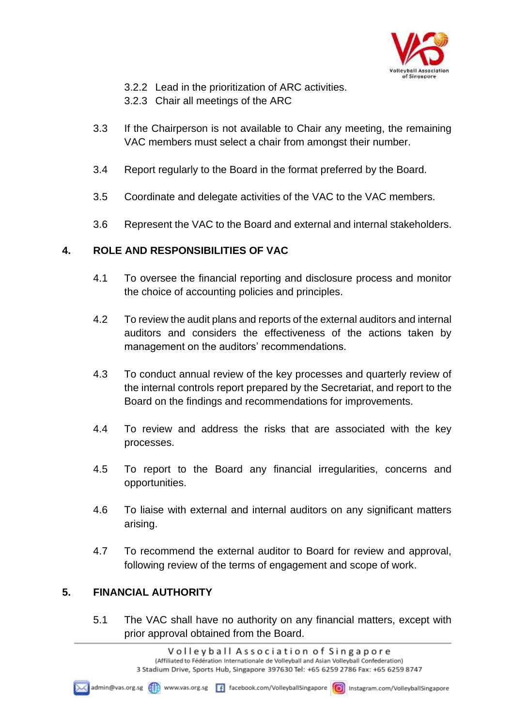

- 3.2.2 Lead in the prioritization of ARC activities.
- 3.2.3 Chair all meetings of the ARC
- 3.3 If the Chairperson is not available to Chair any meeting, the remaining VAC members must select a chair from amongst their number.
- 3.4 Report regularly to the Board in the format preferred by the Board.
- 3.5 Coordinate and delegate activities of the VAC to the VAC members.
- 3.6 Represent the VAC to the Board and external and internal stakeholders.

#### **4. ROLE AND RESPONSIBILITIES OF VAC**

- 4.1 To oversee the financial reporting and disclosure process and monitor the choice of accounting policies and principles.
- 4.2 To review the audit plans and reports of the external auditors and internal auditors and considers the effectiveness of the actions taken by management on the auditors' recommendations.
- 4.3 To conduct annual review of the key processes and quarterly review of the internal controls report prepared by the Secretariat, and report to the Board on the findings and recommendations for improvements.
- 4.4 To review and address the risks that are associated with the key processes.
- 4.5 To report to the Board any financial irregularities, concerns and opportunities.
- 4.6 To liaise with external and internal auditors on any significant matters arising.
- 4.7 To recommend the external auditor to Board for review and approval, following review of the terms of engagement and scope of work.

### **5. FINANCIAL AUTHORITY**

5.1 The VAC shall have no authority on any financial matters, except with prior approval obtained from the Board.